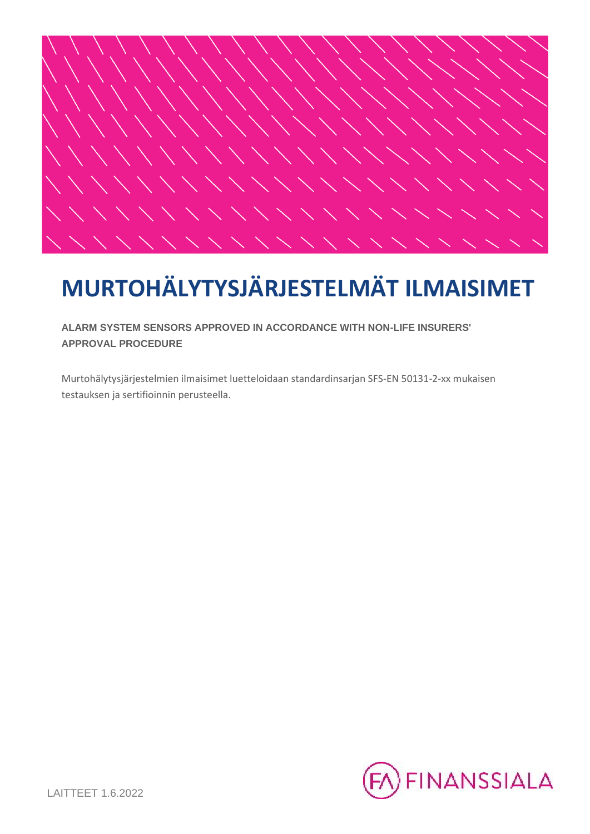

**ALARM SYSTEM SENSORS APPROVED IN ACCORDANCE WITH NON-LIFE INSURERS' APPROVAL PROCEDURE**

Murtohälytysjärjestelmien ilmaisimet luetteloidaan standardinsarjan SFS-EN 50131-2-xx mukaisen testauksen ja sertifioinnin perusteella.

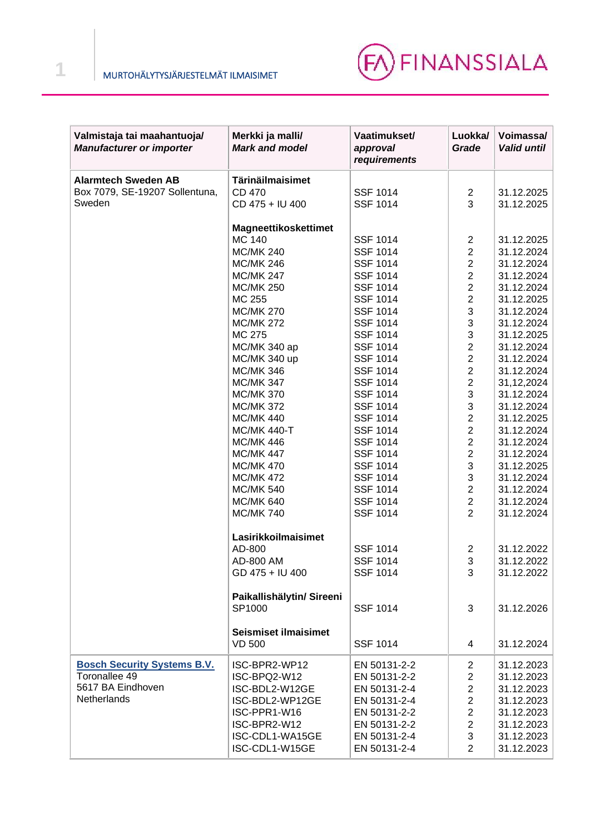

| Valmistaja tai maahantuoja/<br><b>Manufacturer or importer</b> | Merkki ja malli/<br><b>Mark and model</b>    | Vaatimukset/<br>approval<br>requirements | Luokka/<br>Grade          | Voimassa/<br><b>Valid until</b> |
|----------------------------------------------------------------|----------------------------------------------|------------------------------------------|---------------------------|---------------------------------|
| <b>Alarmtech Sweden AB</b>                                     | Tärinäilmaisimet                             |                                          |                           |                                 |
| Box 7079, SE-19207 Sollentuna,                                 | <b>CD 470</b>                                | <b>SSF 1014</b>                          | $\overline{2}$            | 31.12.2025                      |
| Sweden                                                         | CD 475 + IU 400                              | <b>SSF 1014</b>                          | 3                         | 31.12.2025                      |
|                                                                | Magneettikoskettimet                         |                                          |                           |                                 |
|                                                                | <b>MC 140</b>                                | <b>SSF 1014</b>                          | $\overline{\mathbf{c}}$   | 31.12.2025                      |
|                                                                | <b>MC/MK 240</b>                             | <b>SSF 1014</b>                          | $\overline{c}$            | 31.12.2024                      |
|                                                                | <b>MC/MK 246</b>                             | <b>SSF 1014</b>                          | $\boldsymbol{2}$          | 31.12.2024                      |
|                                                                | <b>MC/MK 247</b>                             | <b>SSF 1014</b>                          | $\overline{c}$            | 31.12.2024                      |
|                                                                | <b>MC/MK 250</b>                             | <b>SSF 1014</b>                          | $\overline{c}$            | 31.12.2024                      |
|                                                                | MC 255                                       | <b>SSF 1014</b>                          | $\overline{c}$            | 31.12.2025                      |
|                                                                | <b>MC/MK 270</b>                             | <b>SSF 1014</b>                          | 3                         | 31.12.2024                      |
|                                                                | <b>MC/MK 272</b>                             | <b>SSF 1014</b>                          | 3                         | 31.12.2024                      |
|                                                                | MC 275                                       | <b>SSF 1014</b>                          | 3                         | 31.12.2025                      |
|                                                                | MC/MK 340 ap                                 | <b>SSF 1014</b>                          | $\overline{c}$            | 31.12.2024                      |
|                                                                | MC/MK 340 up                                 | <b>SSF 1014</b>                          | $\overline{c}$            | 31.12.2024                      |
|                                                                | <b>MC/MK 346</b>                             | <b>SSF 1014</b>                          | $\overline{c}$            | 31.12.2024                      |
|                                                                | <b>MC/MK 347</b>                             | <b>SSF 1014</b>                          | $\overline{c}$            | 31,12,2024                      |
|                                                                | <b>MC/MK 370</b>                             | <b>SSF 1014</b>                          | 3                         | 31.12.2024                      |
|                                                                | <b>MC/MK 372</b>                             | <b>SSF 1014</b>                          | 3                         | 31.12.2024                      |
|                                                                | <b>MC/MK 440</b>                             | <b>SSF 1014</b>                          | $\overline{c}$            | 31.12.2025                      |
|                                                                | <b>MC/MK 440-T</b>                           | <b>SSF 1014</b>                          | $\overline{c}$            | 31.12.2024                      |
|                                                                | <b>MC/MK 446</b>                             | <b>SSF 1014</b>                          | $\overline{c}$            | 31.12.2024                      |
|                                                                | <b>MC/MK 447</b>                             | <b>SSF 1014</b>                          | $\overline{c}$            | 31.12.2024                      |
|                                                                | <b>MC/MK 470</b>                             | <b>SSF 1014</b>                          | 3                         | 31.12.2025                      |
|                                                                | <b>MC/MK 472</b>                             | <b>SSF 1014</b>                          | 3                         | 31.12.2024                      |
|                                                                | <b>MC/MK 540</b>                             | <b>SSF 1014</b>                          | $\overline{c}$            | 31.12.2024                      |
|                                                                | <b>MC/MK 640</b>                             | <b>SSF 1014</b>                          | $\overline{c}$            | 31.12.2024                      |
|                                                                | <b>MC/MK740</b>                              | <b>SSF 1014</b>                          | $\overline{2}$            | 31.12.2024                      |
|                                                                | Lasirikkoilmaisimet                          |                                          |                           |                                 |
|                                                                | AD-800                                       | <b>SSF 1014</b>                          | 2                         | 31.12.2022                      |
|                                                                | AD-800 AM                                    | <b>SSF 1014</b>                          | 3                         | 31.12.2022                      |
|                                                                | GD 475 + IU 400                              | <b>SSF 1014</b>                          | 3                         | 31.12.2022                      |
|                                                                | Paikallishälytin/ Sireeni                    |                                          |                           |                                 |
|                                                                | SP1000                                       | <b>SSF 1014</b>                          | 3                         | 31.12.2026                      |
|                                                                | <b>Seismiset ilmaisimet</b><br><b>VD 500</b> | <b>SSF 1014</b>                          | 4                         | 31.12.2024                      |
| <b>Bosch Security Systems B.V.</b>                             | ISC-BPR2-WP12                                | EN 50131-2-2                             | $\overline{c}$            | 31.12.2023                      |
| Toronallee 49                                                  | ISC-BPQ2-W12                                 | EN 50131-2-2                             | $\boldsymbol{2}$          | 31.12.2023                      |
| 5617 BA Eindhoven                                              | ISC-BDL2-W12GE                               | EN 50131-2-4                             | $\overline{c}$            | 31.12.2023                      |
| Netherlands                                                    | ISC-BDL2-WP12GE                              | EN 50131-2-4                             | $\boldsymbol{2}$          | 31.12.2023                      |
|                                                                | ISC-PPR1-W16                                 | EN 50131-2-2                             | $\overline{c}$            | 31.12.2023                      |
|                                                                | ISC-BPR2-W12                                 | EN 50131-2-2                             | $\overline{c}$            | 31.12.2023                      |
|                                                                | ISC-CDL1-WA15GE                              | EN 50131-2-4                             | $\ensuremath{\mathsf{3}}$ | 31.12.2023                      |
|                                                                | ISC-CDL1-W15GE                               | EN 50131-2-4                             | $\overline{2}$            | 31.12.2023                      |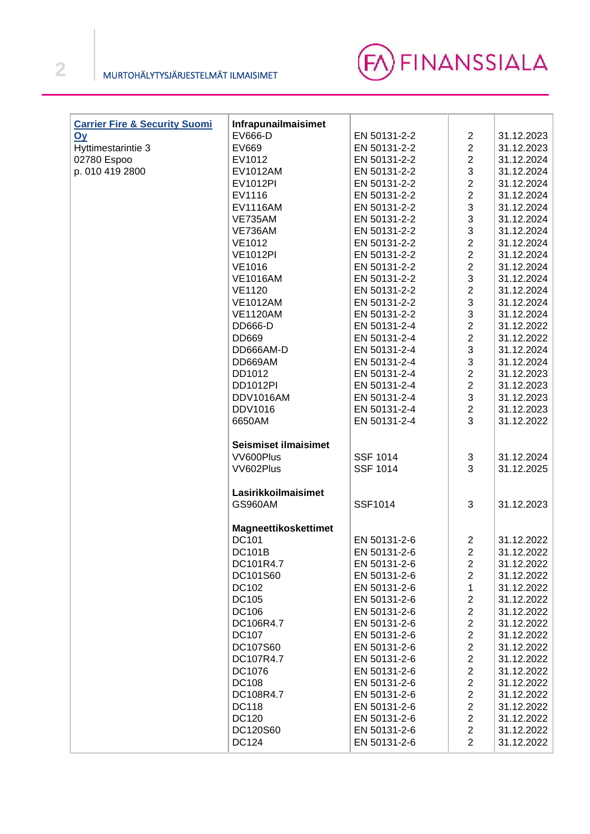

| <b>Carrier Fire &amp; Security Suomi</b> | Infrapunailmaisimet         |                 |                                  |            |
|------------------------------------------|-----------------------------|-----------------|----------------------------------|------------|
| <u>Oy</u>                                | EV666-D                     | EN 50131-2-2    | $\overline{c}$                   | 31.12.2023 |
| Hyttimestarintie 3                       | EV669                       | EN 50131-2-2    | $\boldsymbol{2}$                 | 31.12.2023 |
| 02780 Espoo                              | EV1012                      | EN 50131-2-2    | $\overline{c}$                   | 31.12.2024 |
| p. 010 419 2800                          | EV1012AM                    | EN 50131-2-2    | 3                                | 31.12.2024 |
|                                          | EV1012PI                    | EN 50131-2-2    | $\overline{c}$                   | 31.12.2024 |
|                                          | EV1116                      | EN 50131-2-2    | $\overline{c}$                   | 31.12.2024 |
|                                          | EV1116AM                    | EN 50131-2-2    | 3                                | 31.12.2024 |
|                                          |                             |                 | 3                                |            |
|                                          | <b>VE735AM</b>              | EN 50131-2-2    | 3                                | 31.12.2024 |
|                                          | VE736AM                     | EN 50131-2-2    |                                  | 31.12.2024 |
|                                          | <b>VE1012</b>               | EN 50131-2-2    | $\overline{c}$                   | 31.12.2024 |
|                                          | <b>VE1012PI</b>             | EN 50131-2-2    | $\boldsymbol{2}$                 | 31.12.2024 |
|                                          | <b>VE1016</b>               | EN 50131-2-2    | $\boldsymbol{2}$                 | 31.12.2024 |
|                                          | <b>VE1016AM</b>             | EN 50131-2-2    | 3                                | 31.12.2024 |
|                                          | <b>VE1120</b>               | EN 50131-2-2    | $\overline{c}$                   | 31.12.2024 |
|                                          | <b>VE1012AM</b>             | EN 50131-2-2    | 3                                | 31.12.2024 |
|                                          | <b>VE1120AM</b>             | EN 50131-2-2    | 3                                | 31.12.2024 |
|                                          | <b>DD666-D</b>              | EN 50131-2-4    | $\boldsymbol{2}$                 | 31.12.2022 |
|                                          | DD669                       | EN 50131-2-4    | $\boldsymbol{2}$                 | 31.12.2022 |
|                                          | DD666AM-D                   | EN 50131-2-4    | 3                                | 31.12.2024 |
|                                          | DD669AM                     | EN 50131-2-4    | $\mathfrak{S}$                   | 31.12.2024 |
|                                          | DD1012                      | EN 50131-2-4    | $\overline{c}$                   | 31.12.2023 |
|                                          | DD1012PI                    | EN 50131-2-4    | $\overline{2}$                   | 31.12.2023 |
|                                          | DDV1016AM                   | EN 50131-2-4    | $\mathbf{3}$                     | 31.12.2023 |
|                                          | <b>DDV1016</b>              | EN 50131-2-4    | $\overline{c}$                   | 31.12.2023 |
|                                          | 6650AM                      | EN 50131-2-4    | 3                                | 31.12.2022 |
|                                          |                             |                 |                                  |            |
|                                          | <b>Seismiset ilmaisimet</b> |                 |                                  |            |
|                                          | VV600Plus                   | <b>SSF 1014</b> | 3                                | 31.12.2024 |
|                                          | VV602Plus                   | <b>SSF 1014</b> | 3                                | 31.12.2025 |
|                                          |                             |                 |                                  |            |
|                                          | Lasirikkoilmaisimet         |                 |                                  |            |
|                                          | GS960AM                     | <b>SSF1014</b>  | 3                                | 31.12.2023 |
|                                          |                             |                 |                                  |            |
|                                          | <b>Magneettikoskettimet</b> |                 |                                  |            |
|                                          | <b>DC101</b>                | EN 50131-2-6    | $\overline{\mathbf{c}}$          | 31.12.2022 |
|                                          |                             |                 | 2                                |            |
|                                          | <b>DC101B</b><br>DC101R4.7  | EN 50131-2-6    |                                  | 31.12.2022 |
|                                          |                             | EN 50131-2-6    | $\overline{c}$<br>$\overline{2}$ | 31.12.2022 |
|                                          | DC101S60                    | EN 50131-2-6    |                                  | 31.12.2022 |
|                                          | DC102                       | EN 50131-2-6    | 1                                | 31.12.2022 |
|                                          | <b>DC105</b>                | EN 50131-2-6    | $\boldsymbol{2}$                 | 31.12.2022 |
|                                          | <b>DC106</b>                | EN 50131-2-6    | $\overline{c}$                   | 31.12.2022 |
|                                          | DC106R4.7                   | EN 50131-2-6    | $\mathbf 2$                      | 31.12.2022 |
|                                          | <b>DC107</b>                | EN 50131-2-6    | $\mathbf 2$                      | 31.12.2022 |
|                                          | DC107S60                    | EN 50131-2-6    | $\mathbf 2$                      | 31.12.2022 |
|                                          | DC107R4.7                   | EN 50131-2-6    | $\mathbf 2$                      | 31.12.2022 |
|                                          | DC1076                      | EN 50131-2-6    | $\mathbf 2$                      | 31.12.2022 |
|                                          | <b>DC108</b>                | EN 50131-2-6    | $\mathbf 2$                      | 31.12.2022 |
|                                          | DC108R4.7                   | EN 50131-2-6    | $\mathbf 2$                      | 31.12.2022 |
|                                          | <b>DC118</b>                | EN 50131-2-6    | $\mathbf 2$                      | 31.12.2022 |
|                                          | <b>DC120</b>                | EN 50131-2-6    | $\overline{2}$                   | 31.12.2022 |
|                                          | DC120S60                    | EN 50131-2-6    | $\boldsymbol{2}$                 | 31.12.2022 |
|                                          | <b>DC124</b>                | EN 50131-2-6    | $\overline{2}$                   | 31.12.2022 |
|                                          |                             |                 |                                  |            |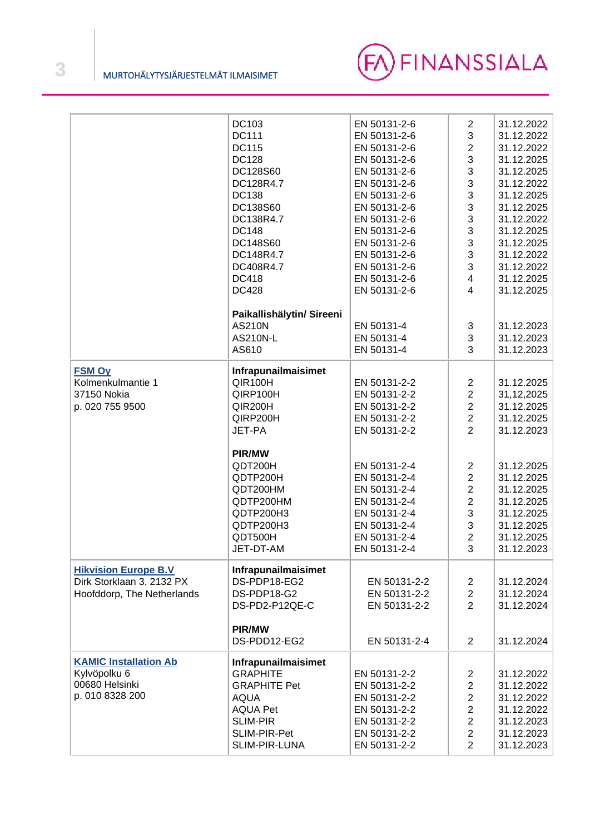

|                              | DC103                     | EN 50131-2-6 | $\overline{c}$ | 31.12.2022   |
|------------------------------|---------------------------|--------------|----------------|--------------|
|                              | DC111                     | EN 50131-2-6 | 3              | 31.12.2022   |
|                              | <b>DC115</b>              | EN 50131-2-6 | $\overline{c}$ | 31.12.2022   |
|                              | <b>DC128</b>              |              | 3              | 31.12.2025   |
|                              |                           | EN 50131-2-6 |                |              |
|                              | DC128S60                  | EN 50131-2-6 | 3              | 31.12.2025   |
|                              | DC128R4.7                 | EN 50131-2-6 | 3              | 31.12.2022   |
|                              | <b>DC138</b>              | EN 50131-2-6 | 3              | 31.12.2025   |
|                              | DC138S60                  | EN 50131-2-6 | 3              | 31.12.2025   |
|                              | DC138R4.7                 | EN 50131-2-6 | 3              | 31.12.2022   |
|                              | <b>DC148</b>              | EN 50131-2-6 | 3              | 31.12.2025   |
|                              | DC148S60                  | EN 50131-2-6 | 3              | 31.12.2025   |
|                              | DC148R4.7                 | EN 50131-2-6 | 3              | 31.12.2022   |
|                              | DC408R4.7                 | EN 50131-2-6 | 3              | 31.12.2022   |
|                              | <b>DC418</b>              | EN 50131-2-6 | 4              | 31.12.2025   |
|                              | <b>DC428</b>              | EN 50131-2-6 | 4              | 31.12.2025   |
|                              |                           |              |                |              |
|                              | Paikallishälytin/ Sireeni |              |                |              |
|                              | <b>AS210N</b>             | EN 50131-4   | 3              | 31.12.2023   |
|                              | <b>AS210N-L</b>           | EN 50131-4   | 3              | 31.12.2023   |
|                              | AS610                     | EN 50131-4   | 3              | 31.12.2023   |
|                              |                           |              |                |              |
| <b>FSM Oy</b>                | Infrapunailmaisimet       |              |                |              |
| Kolmenkulmantie 1            | QIR100H                   | EN 50131-2-2 | $\overline{2}$ | 31.12.2025   |
| 37150 Nokia                  | QIRP100H                  | EN 50131-2-2 | $\overline{2}$ | 31, 12, 2025 |
| p. 020 755 9500              | QIR200H                   | EN 50131-2-2 | $\overline{2}$ | 31.12.2025   |
|                              | QIRP200H                  | EN 50131-2-2 | $\overline{c}$ | 31.12.2025   |
|                              | JET-PA                    | EN 50131-2-2 | $\overline{2}$ | 31.12.2023   |
|                              |                           |              |                |              |
|                              | <b>PIR/MW</b>             |              |                |              |
|                              | QDT200H                   | EN 50131-2-4 | $\overline{c}$ | 31.12.2025   |
|                              | QDTP200H                  | EN 50131-2-4 | $\overline{c}$ | 31.12.2025   |
|                              | QDT200HM                  | EN 50131-2-4 | $\overline{c}$ | 31.12.2025   |
|                              |                           |              | $\overline{c}$ |              |
|                              | QDTP200HM                 | EN 50131-2-4 |                | 31.12.2025   |
|                              | QDTP200H3                 | EN 50131-2-4 | 3              | 31.12.2025   |
|                              | QDTP200H3                 | EN 50131-2-4 | 3              | 31.12.2025   |
|                              | QDT500H                   | EN 50131-2-4 | $\overline{c}$ | 31.12.2025   |
|                              | JET-DT-AM                 | EN 50131-2-4 | 3              | 31.12.2023   |
| <b>Hikvision Europe B.V</b>  | Infrapunailmaisimet       |              |                |              |
| Dirk Storklaan 3, 2132 PX    | DS-PDP18-EG2              | EN 50131-2-2 | $\overline{c}$ | 31.12.2024   |
|                              | DS-PDP18-G2               |              |                |              |
| Hoofddorp, The Netherlands   |                           | EN 50131-2-2 | $\overline{2}$ | 31.12.2024   |
|                              | DS-PD2-P12QE-C            | EN 50131-2-2 | $\overline{2}$ | 31.12.2024   |
|                              |                           |              |                |              |
|                              | PIR/MW                    |              |                |              |
|                              | DS-PDD12-EG2              | EN 50131-2-4 | $\overline{2}$ | 31.12.2024   |
| <b>KAMIC Installation Ab</b> | Infrapunailmaisimet       |              |                |              |
| Kylvöpolku 6                 | <b>GRAPHITE</b>           | EN 50131-2-2 | $\overline{2}$ | 31.12.2022   |
| 00680 Helsinki               | <b>GRAPHITE Pet</b>       | EN 50131-2-2 | $\overline{2}$ | 31.12.2022   |
| p. 010 8328 200              | <b>AQUA</b>               | EN 50131-2-2 | $\overline{c}$ | 31.12.2022   |
|                              | <b>AQUA Pet</b>           | EN 50131-2-2 | $\overline{c}$ | 31.12.2022   |
|                              | <b>SLIM-PIR</b>           | EN 50131-2-2 | $\overline{c}$ | 31.12.2023   |
|                              |                           |              |                |              |
|                              | SLIM-PIR-Pet              | EN 50131-2-2 | $\overline{c}$ | 31.12.2023   |
|                              | SLIM-PIR-LUNA             | EN 50131-2-2 | $\overline{2}$ | 31.12.2023   |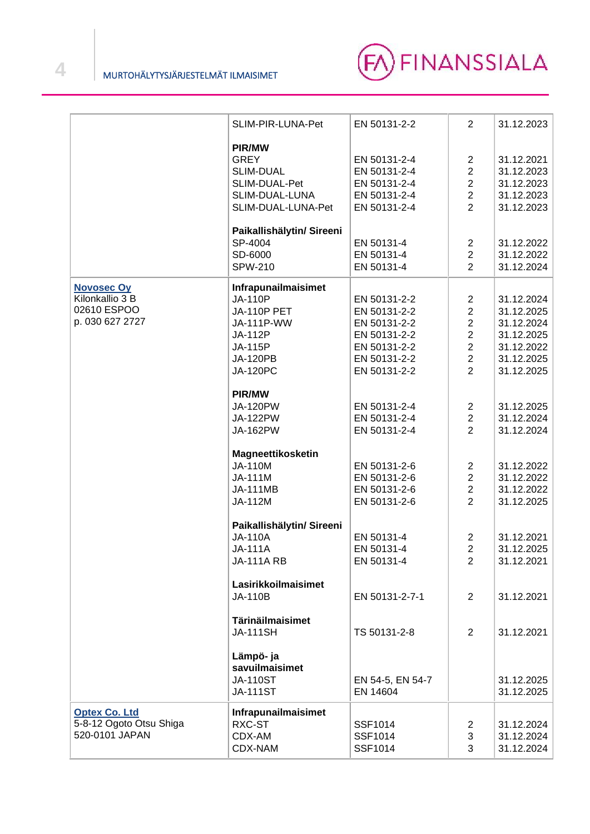

|                         | SLIM-PIR-LUNA-Pet         | EN 50131-2-2     | $\overline{2}$ | 31.12.2023 |
|-------------------------|---------------------------|------------------|----------------|------------|
|                         | PIR/MW                    |                  |                |            |
|                         | <b>GREY</b>               | EN 50131-2-4     | $\overline{c}$ | 31.12.2021 |
|                         | <b>SLIM-DUAL</b>          | EN 50131-2-4     | $\overline{2}$ | 31.12.2023 |
|                         | SLIM-DUAL-Pet             | EN 50131-2-4     | $\overline{2}$ | 31.12.2023 |
|                         |                           |                  | $\overline{2}$ | 31.12.2023 |
|                         | SLIM-DUAL-LUNA            | EN 50131-2-4     |                |            |
|                         | SLIM-DUAL-LUNA-Pet        | EN 50131-2-4     | $\overline{2}$ | 31.12.2023 |
|                         | Paikallishälytin/ Sireeni |                  |                |            |
|                         | SP-4004                   | EN 50131-4       | $\overline{c}$ | 31.12.2022 |
|                         | SD-6000                   | EN 50131-4       | $\overline{2}$ | 31.12.2022 |
|                         | <b>SPW-210</b>            | EN 50131-4       | $\overline{2}$ | 31.12.2024 |
| <b>Novosec Oy</b>       | Infrapunailmaisimet       |                  |                |            |
| Kilonkallio 3 B         | <b>JA-110P</b>            | EN 50131-2-2     | 2              | 31.12.2024 |
| 02610 ESPOO             | <b>JA-110P PET</b>        | EN 50131-2-2     | $\overline{2}$ | 31.12.2025 |
| p. 030 627 2727         | JA-111P-WW                | EN 50131-2-2     | $\overline{c}$ | 31.12.2024 |
|                         | JA-112P                   | EN 50131-2-2     | $\overline{2}$ | 31.12.2025 |
|                         | JA-115P                   | EN 50131-2-2     | $\overline{2}$ | 31.12.2022 |
|                         | <b>JA-120PB</b>           | EN 50131-2-2     | $\overline{2}$ | 31.12.2025 |
|                         | <b>JA-120PC</b>           | EN 50131-2-2     | $\overline{2}$ | 31.12.2025 |
|                         |                           |                  |                |            |
|                         | PIR/MW                    |                  |                |            |
|                         | <b>JA-120PW</b>           | EN 50131-2-4     | $\overline{2}$ | 31.12.2025 |
|                         | <b>JA-122PW</b>           | EN 50131-2-4     | $\overline{2}$ | 31.12.2024 |
|                         | JA-162PW                  | EN 50131-2-4     | $\overline{2}$ | 31.12.2024 |
|                         |                           |                  |                |            |
|                         | Magneettikosketin         |                  |                |            |
|                         | <b>JA-110M</b>            | EN 50131-2-6     | 2              | 31.12.2022 |
|                         | JA-111M                   | EN 50131-2-6     | $\overline{2}$ | 31.12.2022 |
|                         | <b>JA-111MB</b>           | EN 50131-2-6     | $\overline{2}$ | 31.12.2022 |
|                         | JA-112M                   | EN 50131-2-6     | $\overline{2}$ | 31.12.2025 |
|                         |                           |                  |                |            |
|                         | Paikallishälytin/ Sireeni |                  |                |            |
|                         | <b>JA-110A</b>            | EN 50131-4       | $\overline{2}$ | 31.12.2021 |
|                         | <b>JA-111A</b>            | EN 50131-4       | $\overline{2}$ | 31.12.2025 |
|                         | <b>JA-111A RB</b>         | EN 50131-4       | 2              | 31.12.2021 |
|                         | Lasirikkoilmaisimet       |                  |                |            |
|                         | <b>JA-110B</b>            | EN 50131-2-7-1   | $\overline{c}$ | 31.12.2021 |
|                         |                           |                  |                |            |
|                         | Tärinäilmaisimet          |                  |                |            |
|                         | <b>JA-111SH</b>           | TS 50131-2-8     | $\overline{2}$ | 31.12.2021 |
|                         | Lämpö- ja                 |                  |                |            |
|                         | savuilmaisimet            |                  |                |            |
|                         | <b>JA-110ST</b>           | EN 54-5, EN 54-7 |                | 31.12.2025 |
|                         | <b>JA-111ST</b>           | EN 14604         |                | 31.12.2025 |
|                         |                           |                  |                |            |
| <b>Optex Co. Ltd</b>    | Infrapunailmaisimet       |                  |                |            |
| 5-8-12 Ogoto Otsu Shiga | RXC-ST                    | SSF1014          | 2              | 31.12.2024 |
| 520-0101 JAPAN          | CDX-AM                    | SSF1014          | 3              | 31.12.2024 |
|                         | CDX-NAM                   | SSF1014          | 3              | 31.12.2024 |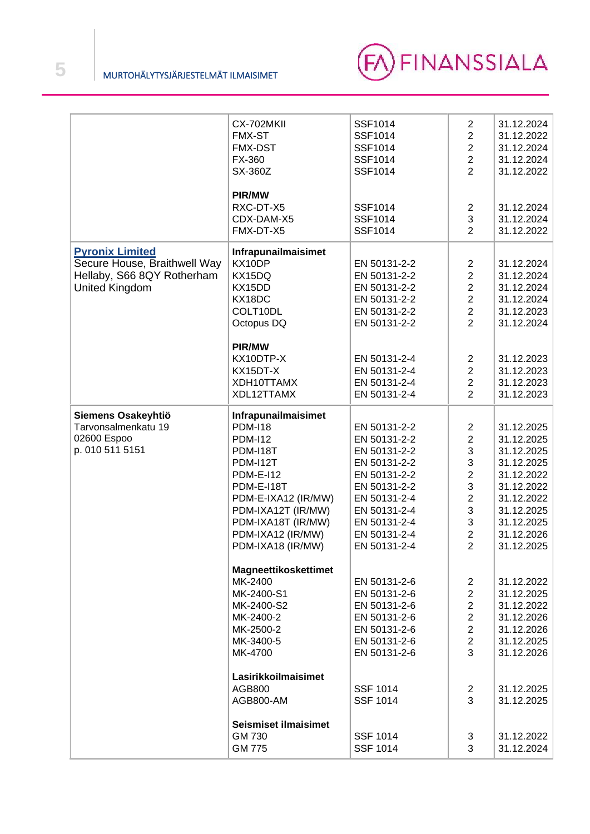

|                              | CX-702MKII                  | <b>SSF1014</b>  | $\overline{2}$   | 31.12.2024 |
|------------------------------|-----------------------------|-----------------|------------------|------------|
|                              | <b>FMX-ST</b>               | <b>SSF1014</b>  | $\overline{2}$   | 31.12.2022 |
|                              | <b>FMX-DST</b>              | <b>SSF1014</b>  | $\overline{2}$   | 31.12.2024 |
|                              | FX-360                      | <b>SSF1014</b>  | $\overline{2}$   | 31.12.2024 |
|                              | SX-360Z                     | <b>SSF1014</b>  | $\overline{2}$   | 31.12.2022 |
|                              |                             |                 |                  |            |
|                              |                             |                 |                  |            |
|                              | <b>PIR/MW</b>               |                 |                  |            |
|                              | RXC-DT-X5                   | SSF1014         | 2                | 31.12.2024 |
|                              | CDX-DAM-X5                  | <b>SSF1014</b>  | 3                | 31.12.2024 |
|                              | FMX-DT-X5                   | <b>SSF1014</b>  | $\overline{2}$   |            |
|                              |                             |                 |                  | 31.12.2022 |
|                              |                             |                 |                  |            |
| <b>Pyronix Limited</b>       | Infrapunailmaisimet         |                 |                  |            |
| Secure House, Braithwell Way | KX10DP                      | EN 50131-2-2    | $\mathbf{2}$     | 31.12.2024 |
| Hellaby, S66 8QY Rotherham   | KX15DQ                      | EN 50131-2-2    | $\mathbf 2$      | 31.12.2024 |
| <b>United Kingdom</b>        | KX15DD                      | EN 50131-2-2    | $\boldsymbol{2}$ | 31.12.2024 |
|                              | KX18DC                      | EN 50131-2-2    | $\overline{c}$   | 31.12.2024 |
|                              |                             |                 |                  |            |
|                              | COLT10DL                    | EN 50131-2-2    | $\overline{c}$   | 31.12.2023 |
|                              | Octopus DQ                  | EN 50131-2-2    | $\overline{2}$   | 31.12.2024 |
|                              |                             |                 |                  |            |
|                              | PIR/MW                      |                 |                  |            |
|                              | KX10DTP-X                   | EN 50131-2-4    | $\overline{2}$   | 31.12.2023 |
|                              |                             |                 |                  |            |
|                              | KX15DT-X                    | EN 50131-2-4    | $\overline{c}$   | 31.12.2023 |
|                              | XDH10TTAMX                  | EN 50131-2-4    | $\boldsymbol{2}$ | 31.12.2023 |
|                              | XDL12TTAMX                  | EN 50131-2-4    | $\overline{2}$   | 31.12.2023 |
|                              |                             |                 |                  |            |
| Siemens Osakeyhtiö           | Infrapunailmaisimet         |                 |                  |            |
| Tarvonsalmenkatu 19          | <b>PDM-I18</b>              | EN 50131-2-2    | $\overline{2}$   | 31.12.2025 |
| 02600 Espoo                  | <b>PDM-112</b>              | EN 50131-2-2    | $\overline{2}$   | 31.12.2025 |
|                              |                             |                 |                  |            |
| p. 010 511 5151              | <b>PDM-I18T</b>             | EN 50131-2-2    | 3                | 31.12.2025 |
|                              |                             |                 |                  |            |
|                              | <b>PDM-I12T</b>             | EN 50131-2-2    | 3                | 31.12.2025 |
|                              | <b>PDM-E-I12</b>            | EN 50131-2-2    |                  | 31.12.2022 |
|                              |                             |                 | $\overline{c}$   |            |
|                              | PDM-E-I18T                  | EN 50131-2-2    | 3                | 31.12.2022 |
|                              | PDM-E-IXA12 (IR/MW)         | EN 50131-2-4    | $\overline{c}$   | 31.12.2022 |
|                              | PDM-IXA12T (IR/MW)          | EN 50131-2-4    | 3                | 31.12.2025 |
|                              | PDM-IXA18T (IR/MW)          | EN 50131-2-4    | 3                | 31.12.2025 |
|                              | PDM-IXA12 (IR/MW)           | EN 50131-2-4    | $\overline{c}$   | 31.12.2026 |
|                              |                             |                 | $\overline{2}$   | 31.12.2025 |
|                              | PDM-IXA18 (IR/MW)           | EN 50131-2-4    |                  |            |
|                              |                             |                 |                  |            |
|                              | Magneettikoskettimet        |                 |                  |            |
|                              | MK-2400                     | EN 50131-2-6    | 2                | 31.12.2022 |
|                              | MK-2400-S1                  | EN 50131-2-6    | $\overline{2}$   | 31.12.2025 |
|                              | MK-2400-S2                  | EN 50131-2-6    | $\overline{2}$   | 31.12.2022 |
|                              |                             |                 |                  |            |
|                              | MK-2400-2                   | EN 50131-2-6    | $\overline{2}$   | 31.12.2026 |
|                              | MK-2500-2                   | EN 50131-2-6    | $\overline{c}$   | 31.12.2026 |
|                              | MK-3400-5                   | EN 50131-2-6    | $\overline{c}$   | 31.12.2025 |
|                              | MK-4700                     | EN 50131-2-6    | 3                | 31.12.2026 |
|                              |                             |                 |                  |            |
|                              |                             |                 |                  |            |
|                              | Lasirikkoilmaisimet         |                 |                  |            |
|                              | AGB800                      | <b>SSF 1014</b> | 2                | 31.12.2025 |
|                              | AGB800-AM                   | <b>SSF 1014</b> | 3                | 31.12.2025 |
|                              |                             |                 |                  |            |
|                              | <b>Seismiset ilmaisimet</b> |                 |                  |            |
|                              | GM 730                      | <b>SSF 1014</b> |                  | 31.12.2022 |
|                              | <b>GM 775</b>               | <b>SSF 1014</b> | 3<br>3           | 31.12.2024 |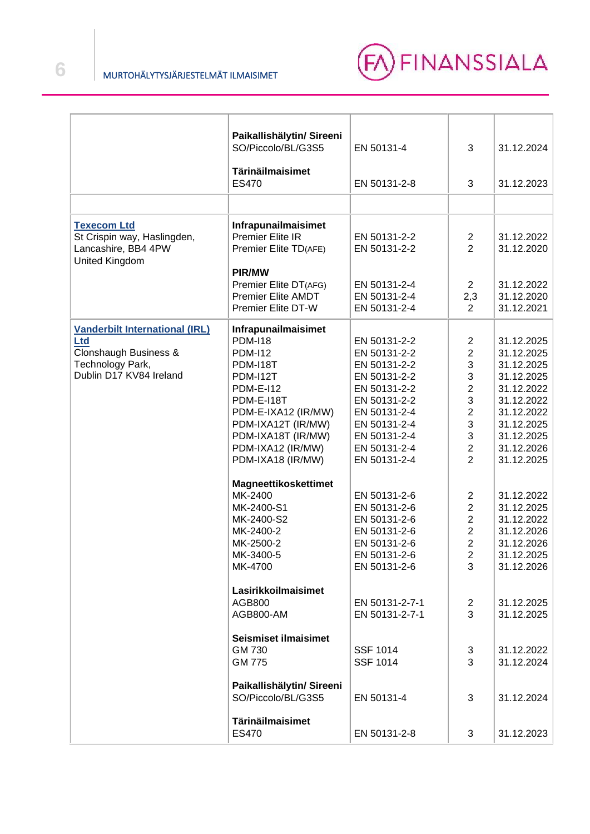

|                                             | Paikallishälytin/ Sireeni                          |                              |                |                          |
|---------------------------------------------|----------------------------------------------------|------------------------------|----------------|--------------------------|
|                                             | SO/Piccolo/BL/G3S5                                 | EN 50131-4                   | 3              | 31.12.2024               |
|                                             | <b>Tärinäilmaisimet</b>                            |                              |                |                          |
|                                             | ES470                                              | EN 50131-2-8                 | 3              | 31.12.2023               |
|                                             |                                                    |                              |                |                          |
| <b>Texecom Ltd</b>                          | Infrapunailmaisimet                                |                              |                |                          |
| St Crispin way, Haslingden,                 | Premier Elite IR                                   | EN 50131-2-2                 | $\overline{2}$ | 31.12.2022               |
| Lancashire, BB4 4PW<br>United Kingdom       | Premier Elite TD(AFE)                              | EN 50131-2-2                 | $\overline{2}$ | 31.12.2020               |
|                                             | <b>PIR/MW</b>                                      |                              |                |                          |
|                                             | Premier Elite DT(AFG)<br><b>Premier Elite AMDT</b> | EN 50131-2-4<br>EN 50131-2-4 | $\overline{2}$ | 31.12.2022<br>31.12.2020 |
|                                             | Premier Elite DT-W                                 | EN 50131-2-4                 | 2,3<br>2       | 31.12.2021               |
|                                             |                                                    |                              |                |                          |
| <b>Vanderbilt International (IRL)</b>       | Infrapunailmaisimet                                |                              |                |                          |
| <b>Ltd</b>                                  | <b>PDM-I18</b>                                     | EN 50131-2-2                 | 2              | 31.12.2025               |
| Clonshaugh Business &                       | <b>PDM-I12</b>                                     | EN 50131-2-2                 | $\overline{2}$ | 31.12.2025               |
| Technology Park,<br>Dublin D17 KV84 Ireland | PDM-I18T                                           | EN 50131-2-2<br>EN 50131-2-2 | 3<br>3         | 31.12.2025               |
|                                             | PDM-I12T<br><b>PDM-E-I12</b>                       | EN 50131-2-2                 | $\overline{2}$ | 31.12.2025<br>31.12.2022 |
|                                             | PDM-E-I18T                                         | EN 50131-2-2                 | 3              | 31.12.2022               |
|                                             | PDM-E-IXA12 (IR/MW)                                | EN 50131-2-4                 | $\overline{2}$ | 31.12.2022               |
|                                             | PDM-IXA12T (IR/MW)                                 | EN 50131-2-4                 | 3              | 31.12.2025               |
|                                             | PDM-IXA18T (IR/MW)                                 | EN 50131-2-4                 | 3              | 31.12.2025               |
|                                             | PDM-IXA12 (IR/MW)                                  | EN 50131-2-4                 | $\overline{2}$ | 31.12.2026               |
|                                             | PDM-IXA18 (IR/MW)                                  | EN 50131-2-4                 | $\overline{2}$ | 31.12.2025               |
|                                             | Magneettikoskettimet                               |                              |                |                          |
|                                             | MK-2400                                            | EN 50131-2-6                 | 2              | 31.12.2022               |
|                                             | MK-2400-S1                                         | EN 50131-2-6                 | $\overline{2}$ | 31.12.2025               |
|                                             | MK-2400-S2                                         | EN 50131-2-6                 | $\overline{c}$ | 31.12.2022               |
|                                             | MK-2400-2                                          | EN 50131-2-6                 | $\overline{c}$ | 31.12.2026               |
|                                             | MK-2500-2                                          | EN 50131-2-6                 | $\overline{2}$ | 31.12.2026               |
|                                             | MK-3400-5                                          | EN 50131-2-6                 | $\overline{2}$ | 31.12.2025               |
|                                             | MK-4700                                            | EN 50131-2-6                 | 3              | 31.12.2026               |
|                                             | Lasirikkoilmaisimet                                |                              |                |                          |
|                                             | AGB800                                             | EN 50131-2-7-1               | 2              | 31.12.2025               |
|                                             | AGB800-AM                                          | EN 50131-2-7-1               | 3              | 31.12.2025               |
|                                             | <b>Seismiset ilmaisimet</b>                        |                              |                |                          |
|                                             | GM 730                                             | <b>SSF 1014</b>              | 3              | 31.12.2022               |
|                                             | <b>GM 775</b>                                      | <b>SSF 1014</b>              | 3              | 31.12.2024               |
|                                             | Paikallishälytin/ Sireeni                          |                              |                |                          |
|                                             | SO/Piccolo/BL/G3S5                                 | EN 50131-4                   | 3              | 31.12.2024               |
|                                             | Tärinäilmaisimet                                   |                              |                |                          |
|                                             | ES470                                              | EN 50131-2-8                 | 3              | 31.12.2023               |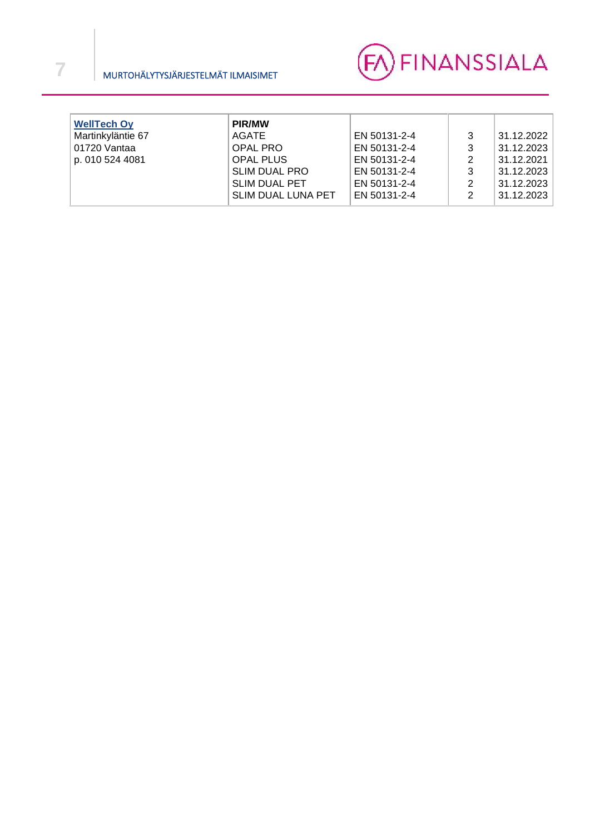

| <b>WellTech Oy</b><br>Martinkyläntie 67<br>01720 Vantaa<br>p. 010 524 4081 | <b>PIR/MW</b><br>AGATE<br><b>OPAL PRO</b><br><b>OPAL PLUS</b><br><b>SLIM DUAL PRO</b><br><b>SLIM DUAL PET</b><br><b>SLIM DUAL LUNA PET</b> | EN 50131-2-4<br>EN 50131-2-4<br>EN 50131-2-4<br>EN 50131-2-4<br>EN 50131-2-4<br>EN 50131-2-4 | 3<br>3<br>2<br>3<br>2<br>2 | 31.12.2022<br>31.12.2023<br>31.12.2021<br>31.12.2023<br>31.12.2023<br>31.12.2023 |
|----------------------------------------------------------------------------|--------------------------------------------------------------------------------------------------------------------------------------------|----------------------------------------------------------------------------------------------|----------------------------|----------------------------------------------------------------------------------|
|----------------------------------------------------------------------------|--------------------------------------------------------------------------------------------------------------------------------------------|----------------------------------------------------------------------------------------------|----------------------------|----------------------------------------------------------------------------------|